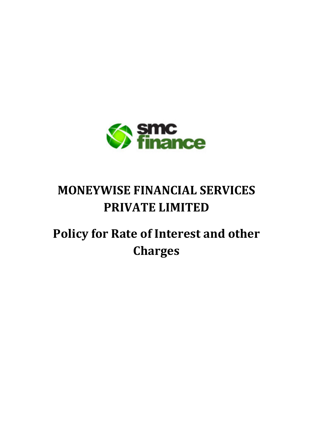

# **MONEYWISE FINANCIAL SERVICES PRIVATE LIMITED**

# **Policy for Rate of Interest and other Charges**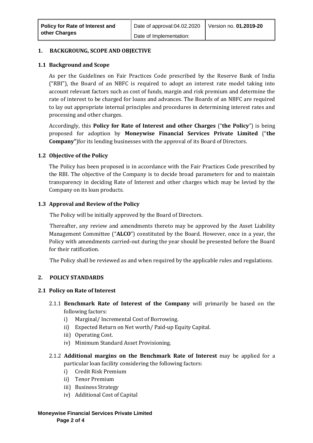## **1. BACKGROUNG, SCOPE AND OBJECTIVE**

## **1.1 Background and Scope**

As per the Guidelines on Fair Practices Code prescribed by the Reserve Bank of India ("RBI"), the Board of an NBFC is required to adopt an interest rate model taking into account relevant factors such as cost of funds, margin and risk premium and determine the rate of interest to be charged for loans and advances. The Boards of an NBFC are required to lay out appropriate internal principles and procedures in determining interest rates and processing and other charges.

Accordingly, this **Policy for Rate of Interest and other Charges** ("**the Policy**") is being proposed for adoption by **Moneywise Financial Services Private Limited** ("**the Company"**)for its lending businesses with the approval of its Board of Directors.

## **1.2 Objective of the Policy**

The Policy has been proposed is in accordance with the Fair Practices Code prescribed by the RBI. The objective of the Company is to decide broad parameters for and to maintain transparency in deciding Rate of Interest and other charges which may be levied by the Company on its loan products.

### **1.3 Approval and Review of the Policy**

The Policy will be initially approved by the Board of Directors.

Thereafter, any review and amendments thereto may be approved by the Asset Liability Management Committee ("**ALCO**") constituted by the Board. However, once in a year, the Policy with amendments carried-out during the year should be presented before the Board for their ratification.

The Policy shall be reviewed as and when required by the applicable rules and regulations.

## **2. POLICY STANDARDS**

#### **2.1 Policy on Rate of Interest**

- 2.1.1 **Benchmark Rate of Interest of the Company** will primarily be based on the following factors:
	- i) Marginal/ Incremental Cost of Borrowing.
	- ii) Expected Return on Net worth/ Paid-up Equity Capital.
	- iii) Operating Cost.
	- iv) Minimum Standard Asset Provisioning.
- 2.1.2 **Additional margins on the Benchmark Rate of Interest** may be applied for a particular loan facility considering the following factors:
	- i) Credit Risk Premium
	- ii) Tenor Premium
	- iii) Business Strategy
	- iv) Additional Cost of Capital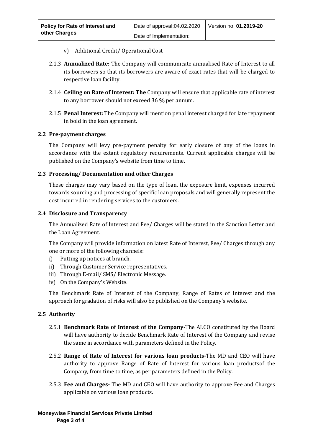- v) Additional Credit/ Operational Cost
- 2.1.3 **Annualized Rate:** The Company will communicate annualised Rate of Interest to all its borrowers so that its borrowers are aware of exact rates that will be charged to respective loan facility.
- 2.1.4 **Ceiling on Rate of Interest: The** Company will ensure that applicable rate of interest to any borrower should not exceed 36 **%** per annum.
- 2.1.5 **Penal Interest:** The Company will mention penal interest charged for late repayment in bold in the loan agreement.

## **2.2 Pre-payment charges**

The Company will levy pre-payment penalty for early closure of any of the loans in accordance with the extant regulatory requirements. Current applicable charges will be published on the Company's website from time to time.

### **2.3 Processing/ Documentation and other Charges**

These charges may vary based on the type of loan, the exposure limit, expenses incurred towards sourcing and processing of specific loan proposals and will generally represent the cost incurred in rendering services to the customers.

### **2.4 Disclosure and Transparency**

The Annualized Rate of Interest and Fee/ Charges will be stated in the Sanction Letter and the Loan Agreement.

The Company will provide information on latest Rate of Interest, Fee/ Charges through any one or more of the following channels:

- i) Putting up notices at branch.
- ii) Through Customer Service representatives.
- iii) Through E-mail/ SMS/ Electronic Message.
- iv) On the Company's Website.

The Benchmark Rate of Interest of the Company, Range of Rates of Interest and the approach for gradation of risks will also be published on the Company's website.

#### **2.5 Authority**

- 2.5.1 **Benchmark Rate of Interest of the Company-**The ALCO constituted by the Board will have authority to decide Benchmark Rate of Interest of the Company and revise the same in accordance with parameters defined in the Policy.
- 2.5.2 **Range of Rate of Interest for various loan products-**The MD and CEO will have authority to approve Range of Rate of Interest for various loan productsof the Company, from time to time, as per parameters defined in the Policy.
- 2.5.3 **Fee and Charges-** The MD and CEO will have authority to approve Fee and Charges applicable on various loan products.